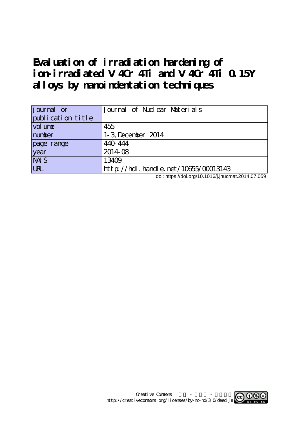# **Evaluation of irradiation hardening of ion-irradiated V 4Cr 4Ti and V 4Cr 4Ti 0.15Y alloys by nanoindentation techniques**

| <i>j</i> ournal or | Journal of Nuclear Materials              |
|--------------------|-------------------------------------------|
| publication title  |                                           |
| vol une            | 455                                       |
| number             | 1-3 December 2014                         |
| page range         | 440 444                                   |
| year               | 201408                                    |
| <b>NAIS</b>        | 13409                                     |
| <b>LRL</b>         | $http$ ://hdl. handle. net/10655/00013143 |

doi: https://doi.org/10.1016/j.jnucmat.2014.07.059

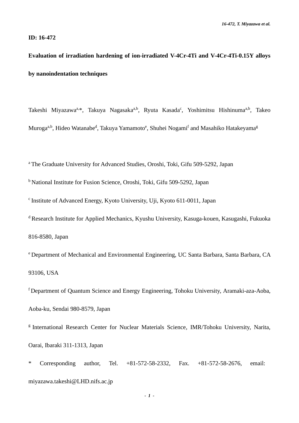# **ID: 16-472**

# **Evaluation of irradiation hardening of ion-irradiated V-4Cr-4Ti and V-4Cr-4Ti-0.15Y alloys by nanoindentation techniques**

Takeshi Miyazawa<sup>a, \*</sup>, Takuya Nagasaka<sup>a, b</sup>, Ryuta Kasada<sup>c</sup>, Yoshimitsu Hishinuma<sup>a, b</sup>, Takeo Muroga<sup>a,b</sup>, Hideo Watanabe<sup>d</sup>, Takuya Yamamoto<sup>e</sup>, Shuhei Nogami<sup>f</sup> and Masahiko Hatakeyama<sup>g</sup>

<sup>a</sup> The Graduate University for Advanced Studies, Oroshi, Toki, Gifu 509-5292, Japan

<sup>b</sup> National Institute for Fusion Science, Oroshi, Toki, Gifu 509-5292, Japan

c Institute of Advanced Energy, Kyoto University, Uji, Kyoto 611-0011, Japan

<sup>d</sup> Research Institute for Applied Mechanics, Kyushu University, Kasuga-kouen, Kasugashi, Fukuoka 816-8580, Japan

<sup>e</sup> Department of Mechanical and Environmental Engineering, UC Santa Barbara, Santa Barbara, CA 93106, USA

<sup>f</sup> Department of Quantum Science and Energy Engineering, Tohoku University, Aramaki-aza-Aoba, Aoba-ku, Sendai 980-8579, Japan

<sup>g</sup> International Research Center for Nuclear Materials Science, IMR/Tohoku University, Narita, Oarai, Ibaraki 311-1313, Japan

\* Corresponding author, Tel. +81-572-58-2332, Fax. +81-572-58-2676, email: miyazawa.takeshi@LHD.nifs.ac.jp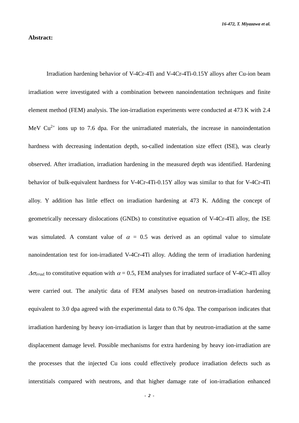# **Abstract:**

Irradiation hardening behavior of V-4Cr-4Ti and V-4Cr-4Ti-0.15Y alloys after Cu-ion beam irradiation were investigated with a combination between nanoindentation techniques and finite element method (FEM) analysis. The ion-irradiation experiments were conducted at 473 K with 2.4 MeV  $Cu^{2+}$  ions up to 7.6 dpa. For the unirradiated materials, the increase in nanoindentation hardness with decreasing indentation depth, so-called indentation size effect (ISE), was clearly observed. After irradiation, irradiation hardening in the measured depth was identified. Hardening behavior of bulk-equivalent hardness for V-4Cr-4Ti-0.15Y alloy was similar to that for V-4Cr-4Ti alloy. Y addition has little effect on irradiation hardening at 473 K. Adding the concept of geometrically necessary dislocations (GNDs) to constitutive equation of V-4Cr-4Ti alloy, the ISE was simulated. A constant value of  $\alpha = 0.5$  was derived as an optimal value to simulate nanoindentation test for ion-irradiated V-4Cr-4Ti alloy. Adding the term of irradiation hardening  $\Delta\sigma_{\text{irrad}}$  to constitutive equation with  $\alpha = 0.5$ , FEM analyses for irradiated surface of V-4Cr-4Ti alloy were carried out. The analytic data of FEM analyses based on neutron-irradiation hardening equivalent to 3.0 dpa agreed with the experimental data to 0.76 dpa. The comparison indicates that irradiation hardening by heavy ion-irradiation is larger than that by neutron-irradiation at the same displacement damage level. Possible mechanisms for extra hardening by heavy ion-irradiation are the processes that the injected Cu ions could effectively produce irradiation defects such as interstitials compared with neutrons, and that higher damage rate of ion-irradiation enhanced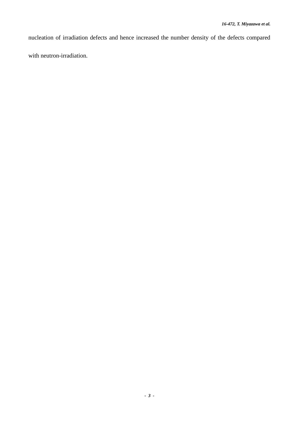nucleation of irradiation defects and hence increased the number density of the defects compared with neutron-irradiation.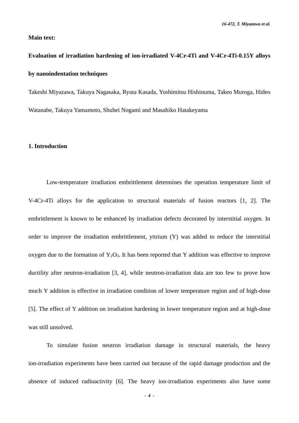*16-472, T. Miyazawa et al.*

# **Main text:**

# **Evaluation of irradiation hardening of ion-irradiated V-4Cr-4Ti and V-4Cr-4Ti-0.15Y alloys by nanoindentation techniques**

Takeshi Miyazawa, Takuya Nagasaka, Ryuta Kasada, Yoshimitsu Hishinuma, Takeo Muroga, Hideo Watanabe, Takuya Yamamoto, Shuhei Nogami and Masahiko Hatakeyama

## **1. Introduction**

Low-temperature irradiation embrittlement determines the operation temperature limit of V-4Cr-4Ti alloys for the application to structural materials of fusion reactors [1, 2]. The embrittlement is known to be enhanced by irradiation defects decorated by interstitial oxygen. In order to improve the irradiation embrittlement, yttrium (Y) was added to reduce the interstitial oxygen due to the formation of  $Y_2O_3$ . It has been reported that Y addition was effective to improve ductility after neutron-irradiation [3, 4], while neutron-irradiation data are too few to prove how much Y addition is effective in irradiation condition of lower temperature region and of high-dose [5]. The effect of Y addition on irradiation hardening in lower temperature region and at high-dose was still unsolved.

To simulate fusion neutron irradiation damage in structural materials, the heavy ion-irradiation experiments have been carried out because of the rapid damage production and the absence of induced radioactivity [6]. The heavy ion-irradiation experiments also have some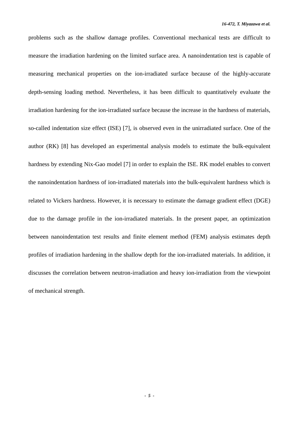problems such as the shallow damage profiles. Conventional mechanical tests are difficult to measure the irradiation hardening on the limited surface area. A nanoindentation test is capable of measuring mechanical properties on the ion-irradiated surface because of the highly-accurate depth-sensing loading method. Nevertheless, it has been difficult to quantitatively evaluate the irradiation hardening for the ion-irradiated surface because the increase in the hardness of materials, so-called indentation size effect (ISE) [7], is observed even in the unirradiated surface. One of the author (RK) [8] has developed an experimental analysis models to estimate the bulk-equivalent hardness by extending Nix-Gao model [7] in order to explain the ISE. RK model enables to convert the nanoindentation hardness of ion-irradiated materials into the bulk-equivalent hardness which is related to Vickers hardness. However, it is necessary to estimate the damage gradient effect (DGE) due to the damage profile in the ion-irradiated materials. In the present paper, an optimization between nanoindentation test results and finite element method (FEM) analysis estimates depth profiles of irradiation hardening in the shallow depth for the ion-irradiated materials. In addition, it discusses the correlation between neutron-irradiation and heavy ion-irradiation from the viewpoint of mechanical strength.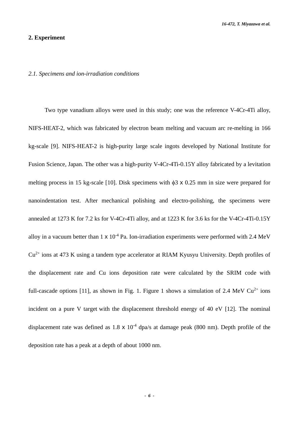### **2. Experiment**

#### *2.1. Specimens and ion-irradiation conditions*

Two type vanadium alloys were used in this study; one was the reference V-4Cr-4Ti alloy, NIFS-HEAT-2, which was fabricated by electron beam melting and vacuum arc re-melting in 166 kg-scale [9]. NIFS-HEAT-2 is high-purity large scale ingots developed by National Institute for Fusion Science, Japan. The other was a high-purity V-4Cr-4Ti-0.15Y alloy fabricated by a levitation melting process in 15 kg-scale [10]. Disk specimens with  $\phi$ 3 x 0.25 mm in size were prepared for nanoindentation test. After mechanical polishing and electro-polishing, the specimens were annealed at 1273 K for 7.2 ks for V-4Cr-4Ti alloy, and at 1223 K for 3.6 ks for the V-4Cr-4Ti-0.15Y alloy in a vacuum better than  $1 \times 10^{-4}$  Pa. Ion-irradiation experiments were performed with 2.4 MeV  $Cu<sup>2+</sup>$  ions at 473 K using a tandem type accelerator at RIAM Kyusyu University. Depth profiles of the displacement rate and Cu ions deposition rate were calculated by the SRIM code with full-cascade options [11], as shown in Fig. 1. Figure 1 shows a simulation of 2.4 MeV  $Cu^{2+}$  ions incident on a pure V target with the displacement threshold energy of 40 eV [12]. The nominal displacement rate was defined as 1.8  $\times$  10<sup>-4</sup> dpa/s at damage peak (800 nm). Depth profile of the deposition rate has a peak at a depth of about 1000 nm.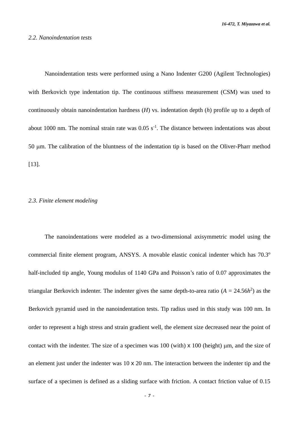Nanoindentation tests were performed using a Nano Indenter G200 (Agilent Technologies) with Berkovich type indentation tip. The continuous stiffness measurement (CSM) was used to continuously obtain nanoindentation hardness (*H*) vs. indentation depth (*h*) profile up to a depth of about 1000 nm. The nominal strain rate was  $0.05 \text{ s}^{-1}$ . The distance between indentations was about 50 um. The calibration of the bluntness of the indentation tip is based on the Oliver-Pharr method [13].

### *2.3. Finite element modeling*

The nanoindentations were modeled as a two-dimensional axisymmetric model using the commercial finite element program, ANSYS. A movable elastic conical indenter which has 70.3<sup>o</sup> half-included tip angle, Young modulus of 1140 GPa and Poisson's ratio of 0.07 approximates the triangular Berkovich indenter. The indenter gives the same depth-to-area ratio  $(A = 24.56h^2)$  as the Berkovich pyramid used in the nanoindentation tests. Tip radius used in this study was 100 nm. In order to represent a high stress and strain gradient well, the element size decreased near the point of contact with the indenter. The size of a specimen was  $100$  (with)  $\times 100$  (height)  $\mu$ m, and the size of an element just under the indenter was 10 x 20 nm. The interaction between the indenter tip and the surface of a specimen is defined as a sliding surface with friction. A contact friction value of 0.15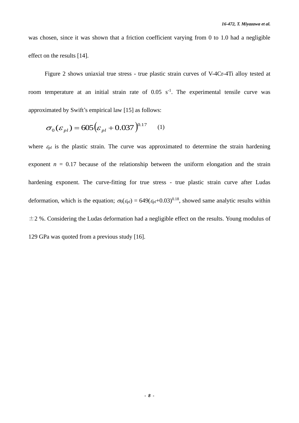was chosen, since it was shown that a friction coefficient varying from 0 to 1.0 had a negligible effect on the results [14].

Figure 2 shows uniaxial true stress - true plastic strain curves of V-4Cr-4Ti alloy tested at room temperature at an initial strain rate of  $0.05 \text{ s}^{-1}$ . The experimental tensile curve was approximated by Swift's empirical law [15] as follows:

$$
\sigma_0(\varepsilon_{pl}) = 605 \big(\varepsilon_{pl} + 0.037\big)^{0.17} \tag{1}
$$

where  $\varepsilon_{pl}$  is the plastic strain. The curve was approximated to determine the strain hardening exponent  $n = 0.17$  because of the relationship between the uniform elongation and the strain hardening exponent. The curve-fitting for true stress - true plastic strain curve after Ludas deformation, which is the equation;  $\sigma_0(\epsilon_{pl}) = 649(\epsilon_{pl}+0.03)^{0.18}$ , showed same analytic results within  $\pm$ 2 %. Considering the Ludas deformation had a negligible effect on the results. Young modulus of 129 GPa was quoted from a previous study [16].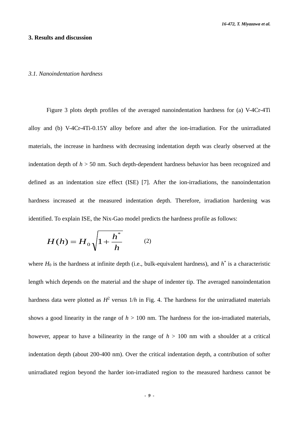#### **3. Results and discussion**

#### *3.1. Nanoindentation hardness*

Figure 3 plots depth profiles of the averaged nanoindentation hardness for (a) V-4Cr-4Ti alloy and (b) V-4Cr-4Ti-0.15Y alloy before and after the ion-irradiation. For the unirradiated materials, the increase in hardness with decreasing indentation depth was clearly observed at the indentation depth of *h* > 50 nm. Such depth-dependent hardness behavior has been recognized and defined as an indentation size effect (ISE) [7]. After the ion-irradiations, the nanoindentation hardness increased at the measured indentation depth. Therefore, irradiation hardening was identified. To explain ISE, the Nix-Gao model predicts the hardness profile as follows:

$$
H(h) = H_0 \sqrt{1 + \frac{h^*}{h}} \qquad (2)
$$

where  $H_0$  is the hardness at infinite depth (i.e., bulk-equivalent hardness), and  $h^*$  is a characteristic length which depends on the material and the shape of indenter tip. The averaged nanoindentation hardness data were plotted as  $H^2$  versus  $1/h$  in Fig. 4. The hardness for the unirradiated materials shows a good linearity in the range of  $h > 100$  nm. The hardness for the ion-irradiated materials, however, appear to have a bilinearity in the range of  $h > 100$  nm with a shoulder at a critical indentation depth (about 200-400 nm). Over the critical indentation depth, a contribution of softer unirradiated region beyond the harder ion-irradiated region to the measured hardness cannot be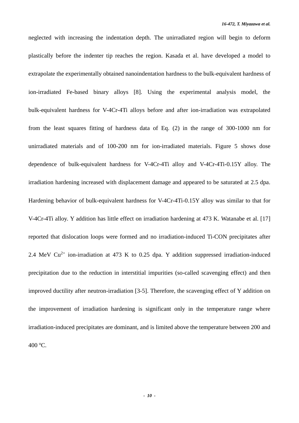neglected with increasing the indentation depth. The unirradiated region will begin to deform plastically before the indenter tip reaches the region. Kasada et al. have developed a model to extrapolate the experimentally obtained nanoindentation hardness to the bulk-equivalent hardness of ion-irradiated Fe-based binary alloys [8]. Using the experimental analysis model, the bulk-equivalent hardness for V-4Cr-4Ti alloys before and after ion-irradiation was extrapolated from the least squares fitting of hardness data of Eq. (2) in the range of 300-1000 nm for unirradiated materials and of 100-200 nm for ion-irradiated materials. Figure 5 shows dose dependence of bulk-equivalent hardness for V-4Cr-4Ti alloy and V-4Cr-4Ti-0.15Y alloy. The irradiation hardening increased with displacement damage and appeared to be saturated at 2.5 dpa. Hardening behavior of bulk-equivalent hardness for V-4Cr-4Ti-0.15Y alloy was similar to that for V-4Cr-4Ti alloy. Y addition has little effect on irradiation hardening at 473 K. Watanabe et al. [17] reported that dislocation loops were formed and no irradiation-induced Ti-CON precipitates after 2.4 MeV  $Cu^{2+}$  ion-irradiation at 473 K to 0.25 dpa. Y addition suppressed irradiation-induced precipitation due to the reduction in interstitial impurities (so-called scavenging effect) and then improved ductility after neutron-irradiation [3-5]. Therefore, the scavenging effect of Y addition on the improvement of irradiation hardening is significant only in the temperature range where irradiation-induced precipitates are dominant, and is limited above the temperature between 200 and 400 <sup>o</sup>C.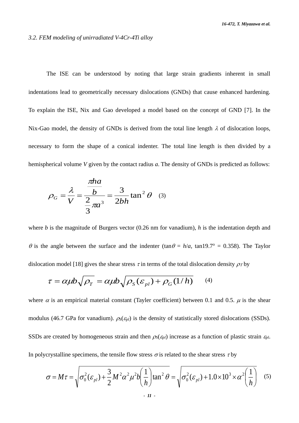#### *3.2. FEM modeling of unirradiated V-4Cr-4Ti alloy*

The ISE can be understood by noting that large strain gradients inherent in small indentations lead to geometrically necessary dislocations (GNDs) that cause enhanced hardening. To explain the ISE, Nix and Gao developed a model based on the concept of GND [7]. In the Nix-Gao model, the density of GNDs is derived from the total line length  $\lambda$  of dislocation loops, necessary to form the shape of a conical indenter. The total line length is then divided by a hemispherical volume *V* given by the contact radius *a*. The density of GNDs is predicted as follows:

$$
\rho_G = \frac{\lambda}{V} = \frac{\frac{\pi h a}{b}}{\frac{2}{3}\pi a^3} = \frac{3}{2bh} \tan^2 \theta \quad (3)
$$

where *b* is the magnitude of Burgers vector (0.26 nm for vanadium), *h* is the indentation depth and  $\theta$  is the angle between the surface and the indenter (tan  $\theta = h/a$ , tan19.7<sup>o</sup> = 0.358). The Taylor dislocation model [18] gives the shear stress  $\tau$  in terms of the total dislocation density  $\rho_T$  by

$$
\tau = \alpha \mu b \sqrt{\rho_T} = \alpha \mu b \sqrt{\rho_S(\varepsilon_{pl}) + \rho_G(1/h)}
$$
 (4)

where  $\alpha$  is an empirical material constant (Tayler coefficient) between 0.1 and 0.5.  $\mu$  is the shear modulus (46.7 GPa for vanadium).  $\rho_s(\varepsilon_{pl})$  is the density of statistically stored dislocations (SSDs). SSDs are created by homogeneous strain and then  $\rho_s(\varepsilon_{pl})$  increase as a function of plastic strain  $\varepsilon_{pl}$ . In polycrystalline specimens, the tensile flow stress  $\sigma$  is related to the shear stress  $\tau$  by

$$
\sigma = M\tau = \sqrt{\sigma_0^2(\varepsilon_{pl}) + \frac{3}{2}M^2\alpha^2\mu^2b\left(\frac{1}{h}\right)\tan^2\theta} = \sqrt{\sigma_0^2(\varepsilon_{pl}) + 1.0 \times 10^3 \times \alpha^2\left(\frac{1}{h}\right)}
$$
(5)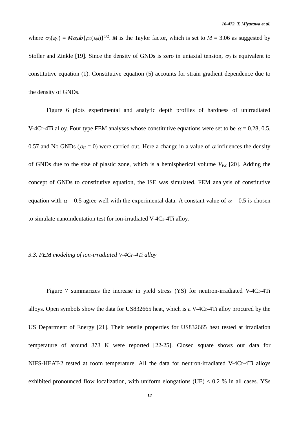where  $\sigma_0(\varepsilon_{pl}) = M\alpha\mu b\{\rho_s(\varepsilon_{pl})\}^{1/2}$ . *M* is the Taylor factor, which is set to *M* = 3.06 as suggested by Stoller and Zinkle [19]. Since the density of GNDs is zero in uniaxial tension,  $\sigma_0$  is equivalent to constitutive equation (1). Constitutive equation (5) accounts for strain gradient dependence due to the density of GNDs.

Figure 6 plots experimental and analytic depth profiles of hardness of unirradiated V-4Cr-4Ti alloy. Four type FEM analyses whose constitutive equations were set to be  $\alpha = 0.28, 0.5,$ 0.57 and No GNDs ( $\rho_G = 0$ ) were carried out. Here a change in a value of  $\alpha$  influences the density of GNDs due to the size of plastic zone, which is a hemispherical volume *VPZ* [20]. Adding the concept of GNDs to constitutive equation, the ISE was simulated. FEM analysis of constitutive equation with  $\alpha = 0.5$  agree well with the experimental data. A constant value of  $\alpha = 0.5$  is chosen to simulate nanoindentation test for ion-irradiated V-4Cr-4Ti alloy.

#### *3.3. FEM modeling of ion-irradiated V-4Cr-4Ti alloy*

Figure 7 summarizes the increase in yield stress (YS) for neutron-irradiated V-4Cr-4Ti alloys. Open symbols show the data for US832665 heat, which is a V-4Cr-4Ti alloy procured by the US Department of Energy [21]. Their tensile properties for US832665 heat tested at irradiation temperature of around 373 K were reported [22-25]. Closed square shows our data for NIFS-HEAT-2 tested at room temperature. All the data for neutron-irradiated V-4Cr-4Ti alloys exhibited pronounced flow localization, with uniform elongations (UE)  $< 0.2$  % in all cases. YSs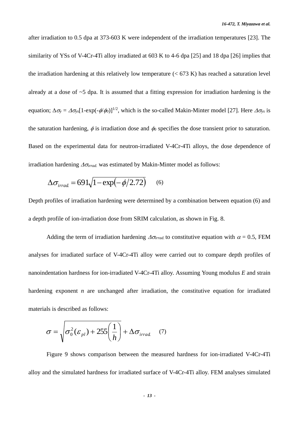after irradiation to 0.5 dpa at 373-603 K were independent of the irradiation temperatures [23]. The similarity of YSs of V-4Cr-4Ti alloy irradiated at 603 K to 4-6 dpa [25] and 18 dpa [26] implies that the irradiation hardening at this relatively low temperature  $(< 673 K$ ) has reached a saturation level already at a dose of  $\sim$ 5 dpa. It is assumed that a fitting expression for irradiation hardening is the equation;  $\Delta \sigma_v = \Delta \sigma_{vs} [1-\exp(-\phi/\phi_0)]^{1/2}$ , which is the so-called Makin-Minter model [27]. Here  $\Delta \sigma_{vs}$  is the saturation hardening,  $\phi$  is irradiation dose and  $\phi_0$  specifies the dose transient prior to saturation. Based on the experimental data for neutron-irradiated V-4Cr-4Ti alloys, the dose dependence of irradiation hardening  $\Delta \sigma_{irrad.}$  was estimated by Makin-Minter model as follows:

$$
\Delta \sigma_{irrad} = 691\sqrt{1 - \exp(-\phi/2.72)} \qquad (6)
$$

Depth profiles of irradiation hardening were determined by a combination between equation (6) and a depth profile of ion-irradiation dose from SRIM calculation, as shown in Fig. 8.

Adding the term of irradiation hardening  $\Delta \sigma_{irrad}$  to constitutive equation with  $\alpha = 0.5$ , FEM analyses for irradiated surface of V-4Cr-4Ti alloy were carried out to compare depth profiles of nanoindentation hardness for ion-irradiated V-4Cr-4Ti alloy. Assuming Young modulus *E* and strain hardening exponent *n* are unchanged after irradiation, the constitutive equation for irradiated materials is described as follows:

$$
\sigma = \sqrt{\sigma_0^2(\varepsilon_{pl}) + 255\left(\frac{1}{h}\right)} + \Delta\sigma_{irrad.}
$$
 (7)

Figure 9 shows comparison between the measured hardness for ion-irradiated V-4Cr-4Ti alloy and the simulated hardness for irradiated surface of V-4Cr-4Ti alloy. FEM analyses simulated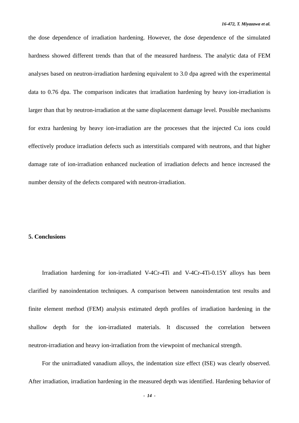the dose dependence of irradiation hardening. However, the dose dependence of the simulated hardness showed different trends than that of the measured hardness. The analytic data of FEM analyses based on neutron-irradiation hardening equivalent to 3.0 dpa agreed with the experimental data to 0.76 dpa. The comparison indicates that irradiation hardening by heavy ion-irradiation is larger than that by neutron-irradiation at the same displacement damage level. Possible mechanisms for extra hardening by heavy ion-irradiation are the processes that the injected Cu ions could effectively produce irradiation defects such as interstitials compared with neutrons, and that higher damage rate of ion-irradiation enhanced nucleation of irradiation defects and hence increased the number density of the defects compared with neutron-irradiation.

#### **5. Conclusions**

Irradiation hardening for ion-irradiated V-4Cr-4Ti and V-4Cr-4Ti-0.15Y alloys has been clarified by nanoindentation techniques. A comparison between nanoindentation test results and finite element method (FEM) analysis estimated depth profiles of irradiation hardening in the shallow depth for the ion-irradiated materials. It discussed the correlation between neutron-irradiation and heavy ion-irradiation from the viewpoint of mechanical strength.

For the unirradiated vanadium alloys, the indentation size effect (ISE) was clearly observed. After irradiation, irradiation hardening in the measured depth was identified. Hardening behavior of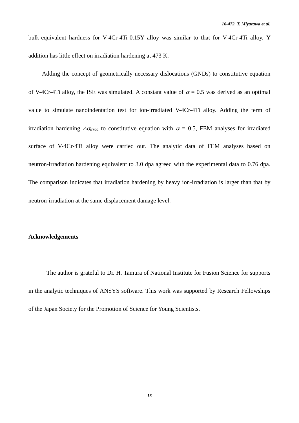bulk-equivalent hardness for V-4Cr-4Ti-0.15Y alloy was similar to that for V-4Cr-4Ti alloy. Y addition has little effect on irradiation hardening at 473 K.

Adding the concept of geometrically necessary dislocations (GNDs) to constitutive equation of V-4Cr-4Ti alloy, the ISE was simulated. A constant value of  $\alpha = 0.5$  was derived as an optimal value to simulate nanoindentation test for ion-irradiated V-4Cr-4Ti alloy. Adding the term of irradiation hardening  $\Delta\sigma_{\text{irrad}}$  to constitutive equation with  $\alpha = 0.5$ , FEM analyses for irradiated surface of V-4Cr-4Ti alloy were carried out. The analytic data of FEM analyses based on neutron-irradiation hardening equivalent to 3.0 dpa agreed with the experimental data to 0.76 dpa. The comparison indicates that irradiation hardening by heavy ion-irradiation is larger than that by neutron-irradiation at the same displacement damage level.

#### **Acknowledgements**

The author is grateful to Dr. H. Tamura of National Institute for Fusion Science for supports in the analytic techniques of ANSYS software. This work was supported by Research Fellowships of the Japan Society for the Promotion of Science for Young Scientists.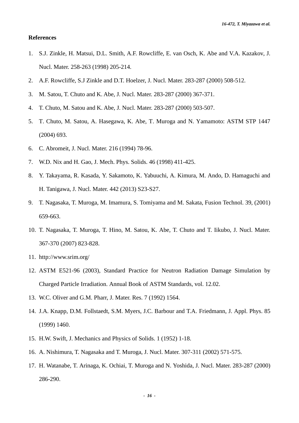*16-472, T. Miyazawa et al.*

# **References**

- 1. S.J. Zinkle, H. Matsui, D.L. Smith, A.F. Rowcliffe, E. van Osch, K. Abe and V.A. Kazakov, J. Nucl. Mater. 258-263 (1998) 205-214.
- 2. A.F. Rowcliffe, S.J Zinkle and D.T. Hoelzer, J. Nucl. Mater. 283-287 (2000) 508-512.
- 3. M. Satou, T. Chuto and K. Abe, J. Nucl. Mater. 283-287 (2000) 367-371.
- 4. T. Chuto, M. Satou and K. Abe, J. Nucl. Mater. 283-287 (2000) 503-507.
- 5. T. Chuto, M. Satou, A. Hasegawa, K. Abe, T. Muroga and N. Yamamoto: ASTM STP 1447 (2004) 693.
- 6. C. Abromeit, J. Nucl. Mater. 216 (1994) 78-96.
- 7. W.D. Nix and H. Gao, J. Mech. Phys. Solids. 46 (1998) 411-425.
- 8. Y. Takayama, R. Kasada, Y. Sakamoto, K. Yabuuchi, A. Kimura, M. Ando, D. Hamaguchi and H. Tanigawa, J. Nucl. Mater. 442 (2013) S23-S27.
- 9. T. Nagasaka, T. Muroga, M. Imamura, S. Tomiyama and M. Sakata, Fusion Technol. 39, (2001) 659-663.
- 10. T. Nagasaka, T. Muroga, T. Hino, M. Satou, K. Abe, T. Chuto and T. Iikubo, J. Nucl. Mater. 367-370 (2007) 823-828.
- 11. http://www.srim.org/
- 12. ASTM E521-96 (2003), Standard Practice for Neutron Radiation Damage Simulation by Charged Particle Irradiation. Annual Book of ASTM Standards, vol. 12.02.
- 13. W.C. Oliver and G.M. Pharr, J. Mater. Res. 7 (1992) 1564.
- 14. J.A. Knapp, D.M. Follstaedt, S.M. Myers, J.C. Barbour and T.A. Friedmann, J. Appl. Phys. 85 (1999) 1460.
- 15. H.W. Swift, J. Mechanics and Physics of Solids. 1 (1952) 1-18.
- 16. A. Nishimura, T. Nagasaka and T. Muroga, J. Nucl. Mater. 307-311 (2002) 571-575.
- 17. H. Watanabe, T. Arinaga, K. Ochiai, T. Muroga and N. Yoshida, J. Nucl. Mater. 283-287 (2000) 286-290.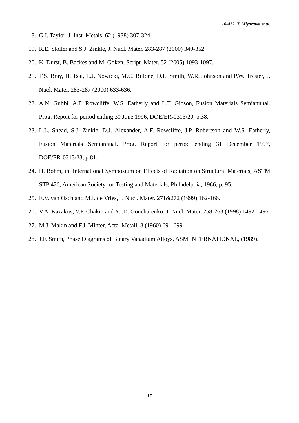- 18. G.I. Taylor, J. Inst. Metals, 62 (1938) 307-324.
- 19. R.E. Stoller and S.J. Zinkle, J. Nucl. Mater. 283-287 (2000) 349-352.
- 20. K. Durst, B. Backes and M. Goken, Script. Mater. 52 (2005) 1093-1097.
- 21. T.S. Bray, H. Tsai, L.J. Nowicki, M.C. Billone, D.L. Smith, W.R. Johnson and P.W. Trester, J. Nucl. Mater. 283-287 (2000) 633-636.
- 22. A.N. Gubbi, A.F. Rowcliffe, W.S. Eatherly and L.T. Gibson, Fusion Materials Semiannual. Prog. Report for period ending 30 June 1996, DOE/ER-0313/20, p.38.
- 23. L.L. Snead, S.J. Zinkle, D.J. Alexander, A.F. Rowcliffe, J.P. Robertson and W.S. Eatherly, Fusion Materials Semiannual. Prog. Report for period ending 31 December 1997, DOE/ER-0313/23, p.81.
- 24. H. Bohm, in: International Symposium on Effects of Radiation on Structural Materials, ASTM STP 426, American Society for Testing and Materials, Philadelphia, 1966, p. 95..
- 25. E.V. van Osch and M.I. de Vries, J. Nucl. Mater. 271&272 (1999) 162-166.
- 26. V.A. Kazakov, V.P. Chakin and Yu.D. Goncharenko, J. Nucl. Mater. 258-263 (1998) 1492-1496.
- 27. M.J. Makin and F.J. Minter, Acta. Metall. 8 (1960) 691-699.
- 28. J.F. Smith, Phase Diagrams of Binary Vanadium Alloys, ASM INTERNATIONAL, (1989).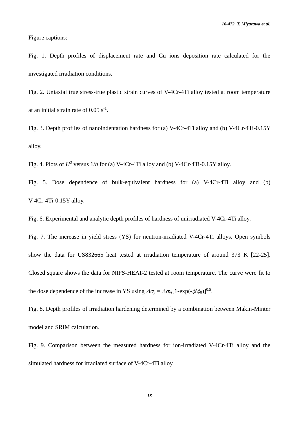Figure captions:

Fig. 1. Depth profiles of displacement rate and Cu ions deposition rate calculated for the investigated irradiation conditions.

Fig. 2. Uniaxial true stress-true plastic strain curves of V-4Cr-4Ti alloy tested at room temperature at an initial strain rate of  $0.05 \text{ s}^{-1}$ .

Fig. 3. Depth profiles of nanoindentation hardness for (a) V-4Cr-4Ti alloy and (b) V-4Cr-4Ti-0.15Y alloy.

Fig. 4. Plots of  $H^2$  versus  $1/h$  for (a) V-4Cr-4Ti alloy and (b) V-4Cr-4Ti-0.15Y alloy.

Fig. 5. Dose dependence of bulk-equivalent hardness for (a) V-4Cr-4Ti alloy and (b) V-4Cr-4Ti-0.15Y alloy.

Fig. 6. Experimental and analytic depth profiles of hardness of unirradiated V-4Cr-4Ti alloy.

Fig. 7. The increase in yield stress (YS) for neutron-irradiated V-4Cr-4Ti alloys. Open symbols show the data for US832665 heat tested at irradiation temperature of around 373 K [22-25]. Closed square shows the data for NIFS-HEAT-2 tested at room temperature. The curve were fit to the dose dependence of the increase in YS using  $\Delta \sigma_y = \Delta \sigma_{ys} [1 - \exp(-\phi/\phi_0)]^{0.5}$ .

Fig. 8. Depth profiles of irradiation hardening determined by a combination between Makin-Minter model and SRIM calculation.

Fig. 9. Comparison between the measured hardness for ion-irradiated V-4Cr-4Ti alloy and the simulated hardness for irradiated surface of V-4Cr-4Ti alloy.

*- 18 -*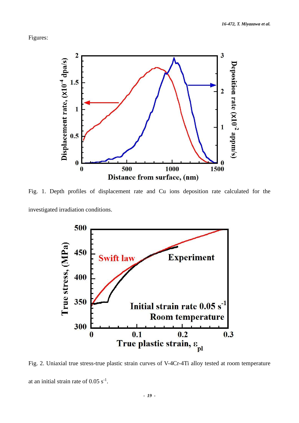Figures:



Fig. 1. Depth profiles of displacement rate and Cu ions deposition rate calculated for the investigated irradiation conditions.



Fig. 2. Uniaxial true stress-true plastic strain curves of V-4Cr-4Ti alloy tested at room temperature at an initial strain rate of  $0.05 \text{ s}^{-1}$ .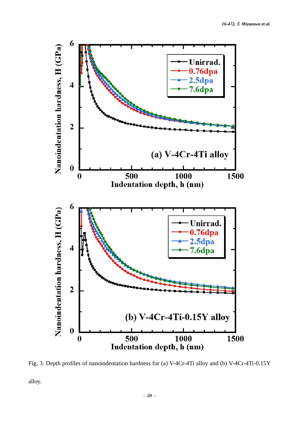

Fig. 3. Depth profiles of nanoindentation hardness for (a) V-4Cr-4Ti alloy and (b) V-4Cr-4Ti-0.15Y

alloy.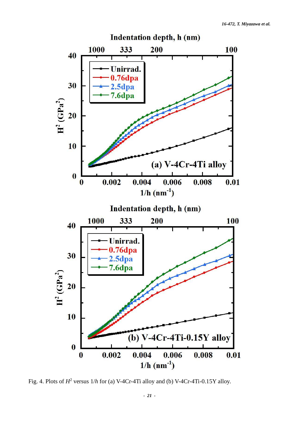

Fig. 4. Plots of  $H^2$  versus  $1/h$  for (a) V-4Cr-4Ti alloy and (b) V-4Cr-4Ti-0.15Y alloy.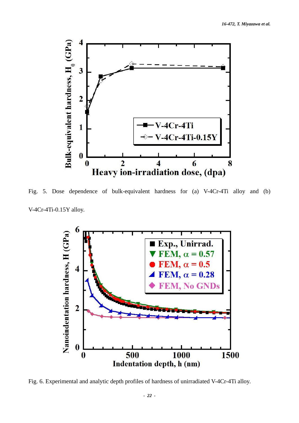

Fig. 5. Dose dependence of bulk-equivalent hardness for (a) V-4Cr-4Ti alloy and (b) V-4Cr-4Ti-0.15Y alloy.



Fig. 6. Experimental and analytic depth profiles of hardness of unirradiated V-4Cr-4Ti alloy.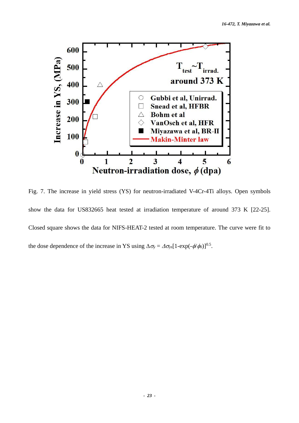

Fig. 7. The increase in yield stress (YS) for neutron-irradiated V-4Cr-4Ti alloys. Open symbols show the data for US832665 heat tested at irradiation temperature of around 373 K [22-25]. Closed square shows the data for NIFS-HEAT-2 tested at room temperature. The curve were fit to the dose dependence of the increase in YS using  $\Delta \sigma_y = \Delta \sigma_{ys} [1 - \exp(-\phi/\phi_0)]^{0.5}$ .